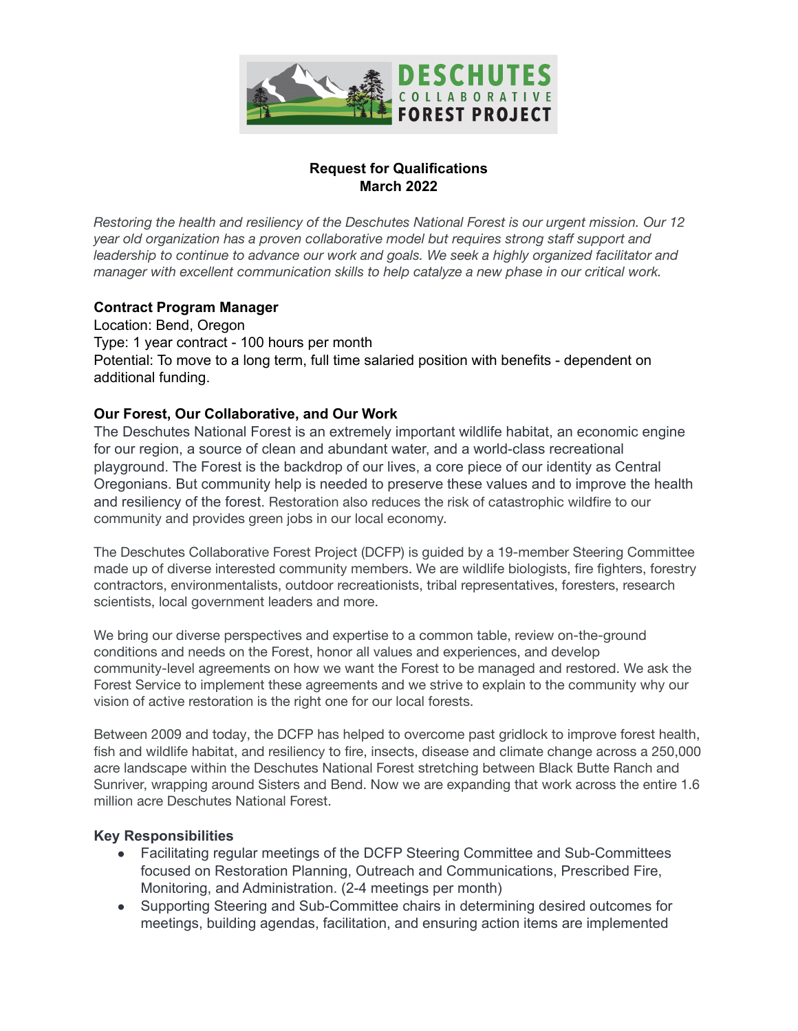

## **Request for Qualifications March 2022**

*Restoring the health and resiliency of the Deschutes National Forest is our urgent mission. Our 12 year old organization has a proven collaborative model but requires strong staff support and leadership to continue to advance our work and goals. We seek a highly organized facilitator and manager with excellent communication skills to help catalyze a new phase in our critical work.*

## **Contract Program Manager**

Location: Bend, Oregon Type: 1 year contract - 100 hours per month Potential: To move to a long term, full time salaried position with benefits - dependent on additional funding.

## **Our Forest, Our Collaborative, and Our Work**

The Deschutes National Forest is an extremely important wildlife habitat, an economic engine for our region, a source of clean and abundant water, and a world-class recreational playground. The Forest is the backdrop of our lives, a core piece of our identity as Central Oregonians. But community help is needed to preserve these values and to improve the health and resiliency of the forest. Restoration also reduces the risk of catastrophic wildfire to our community and provides green jobs in our local economy.

The Deschutes Collaborative Forest Project (DCFP) is guided by a 19-member Steering Committee made up of diverse interested community members. We are wildlife biologists, fire fighters, forestry contractors, environmentalists, outdoor recreationists, tribal representatives, foresters, research scientists, local government leaders and more.

We bring our diverse perspectives and expertise to a common table, review on-the-ground conditions and needs on the Forest, honor all values and experiences, and develop community-level agreements on how we want the Forest to be managed and restored. We ask the Forest Service to implement these agreements and we strive to explain to the community why our vision of active restoration is the right one for our local forests.

Between 2009 and today, the DCFP has helped to overcome past gridlock to improve forest health, fish and wildlife habitat, and resiliency to fire, insects, disease and climate change across a 250,000 acre landscape within the Deschutes National Forest stretching between Black Butte Ranch and Sunriver, wrapping around Sisters and Bend. Now we are expanding that work across the entire 1.6 million acre Deschutes National Forest.

#### **Key Responsibilities**

- Facilitating regular meetings of the DCFP Steering Committee and Sub-Committees focused on Restoration Planning, Outreach and Communications, Prescribed Fire, Monitoring, and Administration. (2-4 meetings per month)
- Supporting Steering and Sub-Committee chairs in determining desired outcomes for meetings, building agendas, facilitation, and ensuring action items are implemented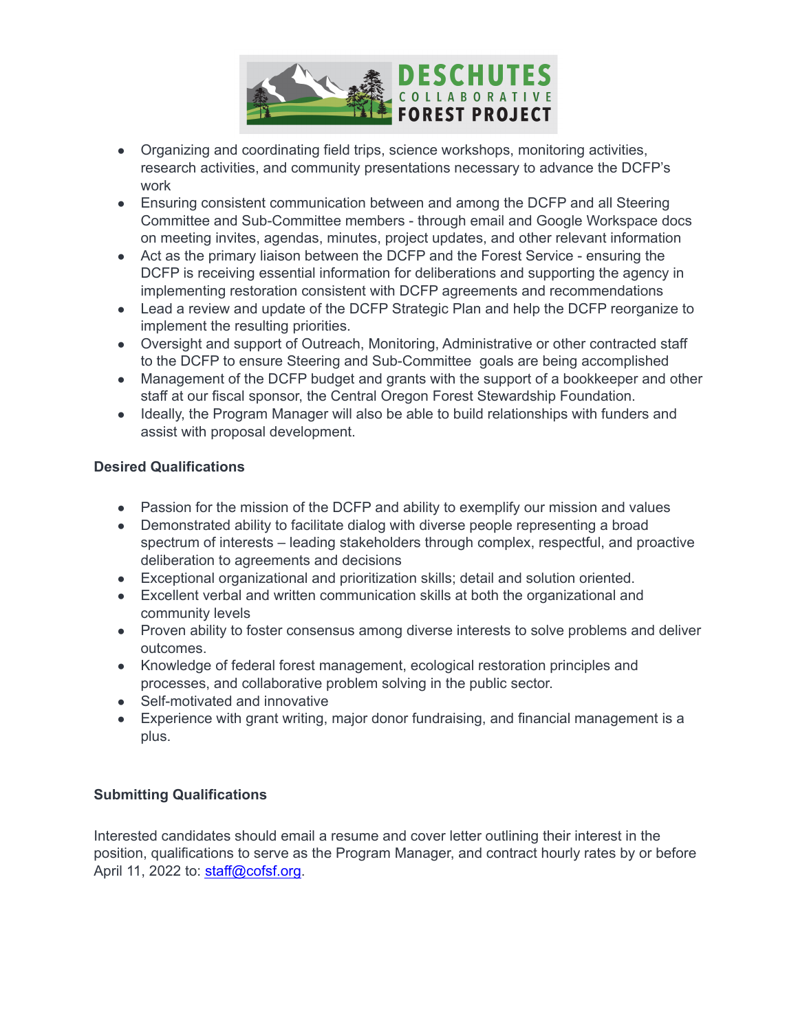

- Organizing and coordinating field trips, science workshops, monitoring activities, research activities, and community presentations necessary to advance the DCFP's work
- Ensuring consistent communication between and among the DCFP and all Steering Committee and Sub-Committee members - through email and Google Workspace docs on meeting invites, agendas, minutes, project updates, and other relevant information
- Act as the primary liaison between the DCFP and the Forest Service ensuring the DCFP is receiving essential information for deliberations and supporting the agency in implementing restoration consistent with DCFP agreements and recommendations
- Lead a review and update of the DCFP Strategic Plan and help the DCFP reorganize to implement the resulting priorities.
- Oversight and support of Outreach, Monitoring, Administrative or other contracted staff to the DCFP to ensure Steering and Sub-Committee goals are being accomplished
- Management of the DCFP budget and grants with the support of a bookkeeper and other staff at our fiscal sponsor, the Central Oregon Forest Stewardship Foundation.
- Ideally, the Program Manager will also be able to build relationships with funders and assist with proposal development.

# **Desired Qualifications**

- Passion for the mission of the DCFP and ability to exemplify our mission and values
- Demonstrated ability to facilitate dialog with diverse people representing a broad spectrum of interests – leading stakeholders through complex, respectful, and proactive deliberation to agreements and decisions
- Exceptional organizational and prioritization skills; detail and solution oriented.
- Excellent verbal and written communication skills at both the organizational and community levels
- Proven ability to foster consensus among diverse interests to solve problems and deliver outcomes.
- Knowledge of federal forest management, ecological restoration principles and processes, and collaborative problem solving in the public sector.
- Self-motivated and innovative
- Experience with grant writing, major donor fundraising, and financial management is a plus.

# **Submitting Qualifications**

Interested candidates should email a resume and cover letter outlining their interest in the position, qualifications to serve as the Program Manager, and contract hourly rates by or before April 11, 2022 to: [staff@cofsf.org](mailto:staff@cofsf.org).